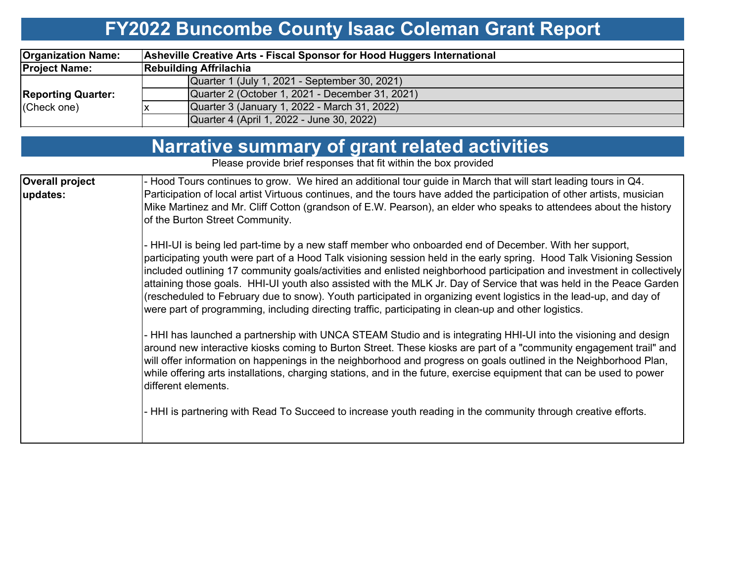## **FY2022 Buncombe County Isaac Coleman Grant Report**

| <b>Organization Name:</b> | Asheville Creative Arts - Fiscal Sponsor for Hood Huggers International |  |  |  |  |  |  |  |  |
|---------------------------|-------------------------------------------------------------------------|--|--|--|--|--|--|--|--|
| <b>Project Name:</b>      | <b>Rebuilding Affrilachia</b>                                           |  |  |  |  |  |  |  |  |
|                           | Quarter 1 (July 1, 2021 - September 30, 2021)                           |  |  |  |  |  |  |  |  |
| <b>Reporting Quarter:</b> | Quarter 2 (October 1, 2021 - December 31, 2021)                         |  |  |  |  |  |  |  |  |
| (Check one)               | Quarter 3 (January 1, 2022 - March 31, 2022)                            |  |  |  |  |  |  |  |  |
|                           | Quarter 4 (April 1, 2022 - June 30, 2022)                               |  |  |  |  |  |  |  |  |

| <b>Narrative summary of grant related activities</b> |  |
|------------------------------------------------------|--|
|------------------------------------------------------|--|

Please provide brief responses that fit within the box provided

| <b>Overall project</b> | - Hood Tours continues to grow. We hired an additional tour guide in March that will start leading tours in Q4.                                                                                                                                                                                                                                                                                                                                                                                                                                                                                                                                                                                                 |
|------------------------|-----------------------------------------------------------------------------------------------------------------------------------------------------------------------------------------------------------------------------------------------------------------------------------------------------------------------------------------------------------------------------------------------------------------------------------------------------------------------------------------------------------------------------------------------------------------------------------------------------------------------------------------------------------------------------------------------------------------|
| updates:               | Participation of local artist Virtuous continues, and the tours have added the participation of other artists, musician                                                                                                                                                                                                                                                                                                                                                                                                                                                                                                                                                                                         |
|                        | Mike Martinez and Mr. Cliff Cotton (grandson of E.W. Pearson), an elder who speaks to attendees about the history<br>of the Burton Street Community.                                                                                                                                                                                                                                                                                                                                                                                                                                                                                                                                                            |
|                        | - HHI-UI is being led part-time by a new staff member who onboarded end of December. With her support,<br>participating youth were part of a Hood Talk visioning session held in the early spring. Hood Talk Visioning Session<br>included outlining 17 community goals/activities and enlisted neighborhood participation and investment in collectively<br>attaining those goals. HHI-UI youth also assisted with the MLK Jr. Day of Service that was held in the Peace Garden<br>(rescheduled to February due to snow). Youth participated in organizing event logistics in the lead-up, and day of<br>were part of programming, including directing traffic, participating in clean-up and other logistics. |
|                        | - HHI has launched a partnership with UNCA STEAM Studio and is integrating HHI-UI into the visioning and design<br>around new interactive kiosks coming to Burton Street. These kiosks are part of a "community engagement trail" and<br>will offer information on happenings in the neighborhood and progress on goals outlined in the Neighborhood Plan,<br>while offering arts installations, charging stations, and in the future, exercise equipment that can be used to power<br>different elements.                                                                                                                                                                                                      |
|                        | - HHI is partnering with Read To Succeed to increase youth reading in the community through creative efforts.                                                                                                                                                                                                                                                                                                                                                                                                                                                                                                                                                                                                   |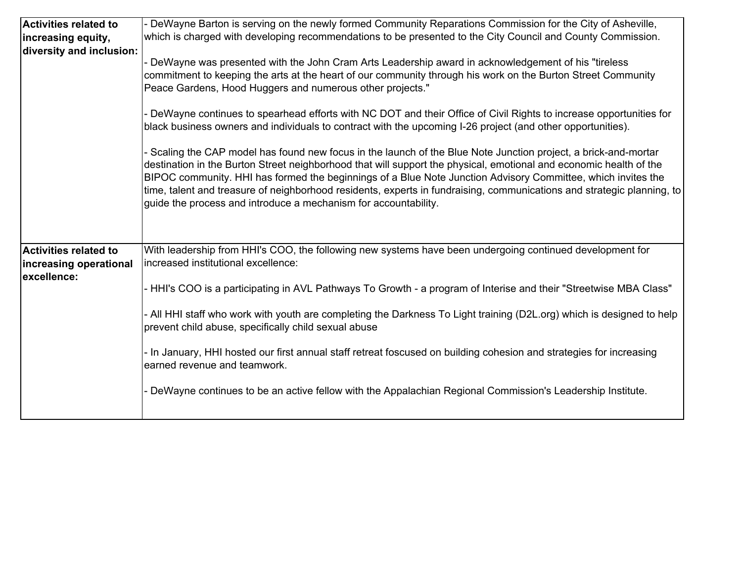| <b>Activities related to</b><br>increasing equity,<br>diversity and inclusion: | - DeWayne Barton is serving on the newly formed Community Reparations Commission for the City of Asheville,<br>which is charged with developing recommendations to be presented to the City Council and County Commission.<br>DeWayne was presented with the John Cram Arts Leadership award in acknowledgement of his "tireless<br>commitment to keeping the arts at the heart of our community through his work on the Burton Street Community<br>Peace Gardens, Hood Huggers and numerous other projects."                                                                                                                                                                                                                                                                            |
|--------------------------------------------------------------------------------|------------------------------------------------------------------------------------------------------------------------------------------------------------------------------------------------------------------------------------------------------------------------------------------------------------------------------------------------------------------------------------------------------------------------------------------------------------------------------------------------------------------------------------------------------------------------------------------------------------------------------------------------------------------------------------------------------------------------------------------------------------------------------------------|
|                                                                                | - DeWayne continues to spearhead efforts with NC DOT and their Office of Civil Rights to increase opportunities for<br>black business owners and individuals to contract with the upcoming I-26 project (and other opportunities).<br>- Scaling the CAP model has found new focus in the launch of the Blue Note Junction project, a brick-and-mortar<br>destination in the Burton Street neighborhood that will support the physical, emotional and economic health of the<br>BIPOC community. HHI has formed the beginnings of a Blue Note Junction Advisory Committee, which invites the<br>time, talent and treasure of neighborhood residents, experts in fundraising, communications and strategic planning, to<br>guide the process and introduce a mechanism for accountability. |
| Activities related to<br>increasing operational<br>excellence:                 | With leadership from HHI's COO, the following new systems have been undergoing continued development for<br>increased institutional excellence:<br>- HHI's COO is a participating in AVL Pathways To Growth - a program of Interise and their "Streetwise MBA Class"<br>- All HHI staff who work with youth are completing the Darkness To Light training (D2L.org) which is designed to help<br>prevent child abuse, specifically child sexual abuse<br>- In January, HHI hosted our first annual staff retreat foscused on building cohesion and strategies for increasing<br>earned revenue and teamwork.<br>DeWayne continues to be an active fellow with the Appalachian Regional Commission's Leadership Institute.                                                                |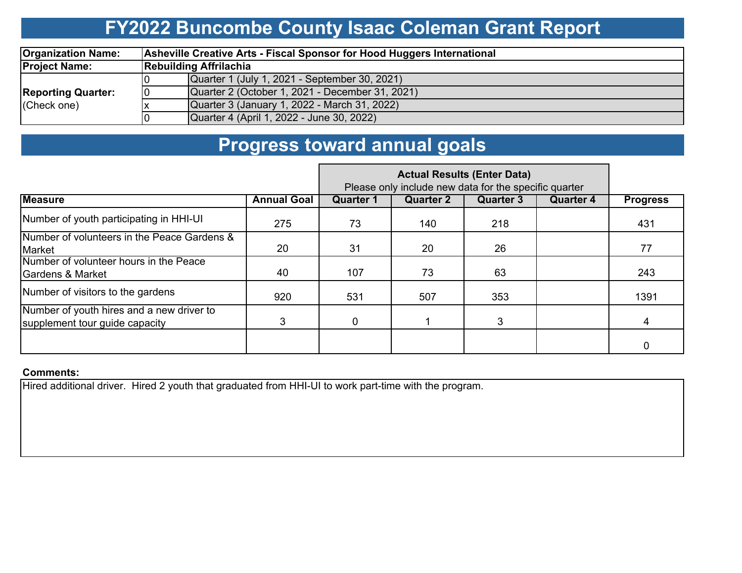### **FY2022 Buncombe County Isaac Coleman Grant Report**

| <b>Organization Name:</b> |    | Asheville Creative Arts - Fiscal Sponsor for Hood Huggers International |  |  |  |  |  |  |  |  |
|---------------------------|----|-------------------------------------------------------------------------|--|--|--|--|--|--|--|--|
| <b>Project Name:</b>      |    | <b>Rebuilding Affrilachia</b>                                           |  |  |  |  |  |  |  |  |
|                           |    | Quarter 1 (July 1, 2021 - September 30, 2021)                           |  |  |  |  |  |  |  |  |
| <b>Reporting Quarter:</b> | 10 | Quarter 2 (October 1, 2021 - December 31, 2021)                         |  |  |  |  |  |  |  |  |
| (Check one)               |    | Quarter 3 (January 1, 2022 - March 31, 2022)                            |  |  |  |  |  |  |  |  |
|                           |    | Quarter 4 (April 1, 2022 - June 30, 2022)                               |  |  |  |  |  |  |  |  |

### **Progress toward annual goals**

|                                                                             |                    | Please only include new data for the specific quarter |                  |                  |                  |                 |
|-----------------------------------------------------------------------------|--------------------|-------------------------------------------------------|------------------|------------------|------------------|-----------------|
| <b>Measure</b>                                                              | <b>Annual Goal</b> | <b>Quarter 1</b>                                      | <b>Quarter 2</b> | <b>Quarter 3</b> | <b>Quarter 4</b> | <b>Progress</b> |
| Number of youth participating in HHI-UI                                     | 275                | 73                                                    | 140              | 218              |                  | 431             |
| Number of volunteers in the Peace Gardens &<br>Market                       | 20                 | 31                                                    | 20               | 26               |                  | 77              |
| Number of volunteer hours in the Peace<br><b>Gardens &amp; Market</b>       | 40                 | 107                                                   | 73               | 63               |                  | 243             |
| Number of visitors to the gardens                                           | 920                | 531                                                   | 507              | 353              |                  | 1391            |
| Number of youth hires and a new driver to<br>supplement tour guide capacity | 3                  | $\mathbf 0$                                           |                  | 3                |                  | 4               |
|                                                                             |                    |                                                       |                  |                  |                  |                 |

#### **Comments:**

Hired additional driver. Hired 2 youth that graduated from HHI-UI to work part-time with the program.